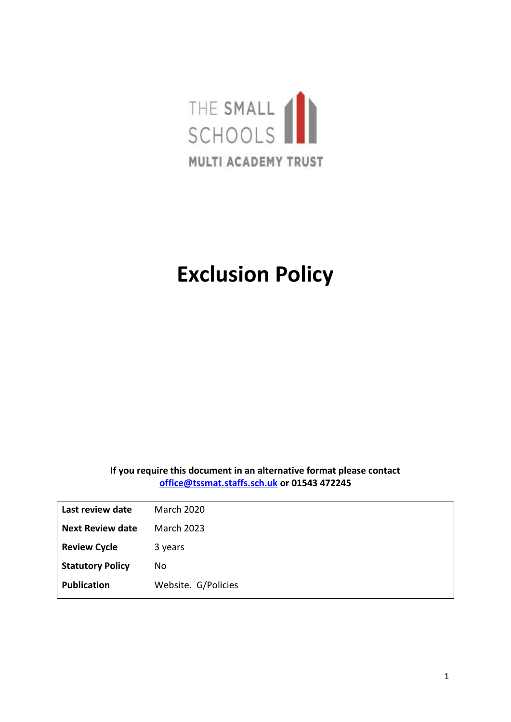

# **Exclusion Policy**

#### **If you require this document in an alternative format please contact [office@tssmat.staffs.sch.uk](mailto:office@tssmat.staffs.sch.uk) or 01543 472245**

| Last review date        | <b>March 2020</b>   |
|-------------------------|---------------------|
| <b>Next Review date</b> | <b>March 2023</b>   |
| <b>Review Cycle</b>     | 3 years             |
| <b>Statutory Policy</b> | No                  |
| <b>Publication</b>      | Website. G/Policies |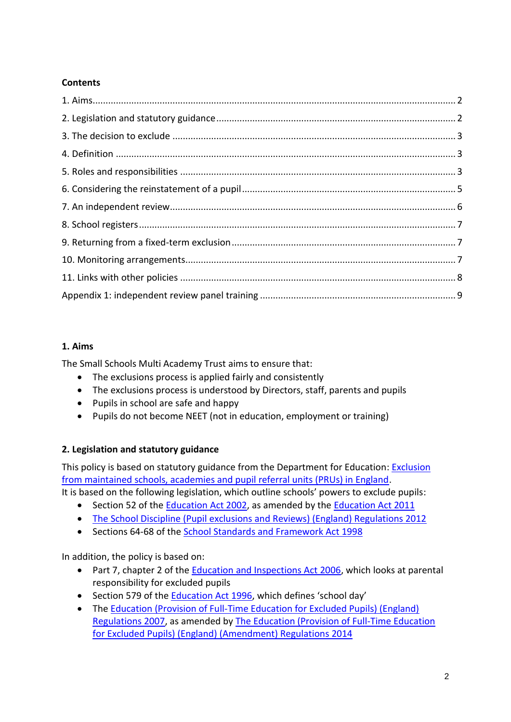# **Contents**

# **1. Aims**

The Small Schools Multi Academy Trust aims to ensure that:

- The exclusions process is applied fairly and consistently
- The exclusions process is understood by Directors, staff, parents and pupils
- Pupils in school are safe and happy
- Pupils do not become NEET (not in education, employment or training)

# **2. Legislation and statutory guidance**

This policy is based on statutory guidance from the Department for Education: [Exclusion](https://www.gov.uk/government/publications/school-exclusion)  [from maintained schools, academies and pupil referral units \(PRUs\) in England.](https://www.gov.uk/government/publications/school-exclusion)

It is based on the following legislation, which outline schools' powers to exclude pupils:

- Section 52 of the [Education Act 2002,](http://www.legislation.gov.uk/ukpga/2002/32/section/52) as amended by the [Education Act 2011](http://www.legislation.gov.uk/ukpga/2011/21/contents/enacted)
- [The School Discipline \(Pupil exclusions and Reviews\) \(England\) Regulations 2012](http://www.legislation.gov.uk/uksi/2012/1033/made)
- Sections 64-68 of the [School Standards and Framework Act 1998](http://www.legislation.gov.uk/ukpga/1998/31)

In addition, the policy is based on:

- Part 7, chapter 2 of the [Education and Inspections Act 2006,](http://www.legislation.gov.uk/ukpga/2006/40/part/7/chapter/2) which looks at parental responsibility for excluded pupils
- Section 579 of the [Education Act 1996](http://www.legislation.gov.uk/ukpga/1996/56/section/579), which defines 'school day'
- The [Education \(Provision of Full-Time Education for Excluded Pupils\) \(England\)](http://www.legislation.gov.uk/uksi/2007/1870/contents/made)  [Regulations 2007,](http://www.legislation.gov.uk/uksi/2007/1870/contents/made) as amended by [The Education \(Provision of Full-Time Education](http://www.legislation.gov.uk/uksi/2014/3216/contents/made)  [for Excluded Pupils\) \(England\) \(Amendment\) Regulations 2014](http://www.legislation.gov.uk/uksi/2014/3216/contents/made)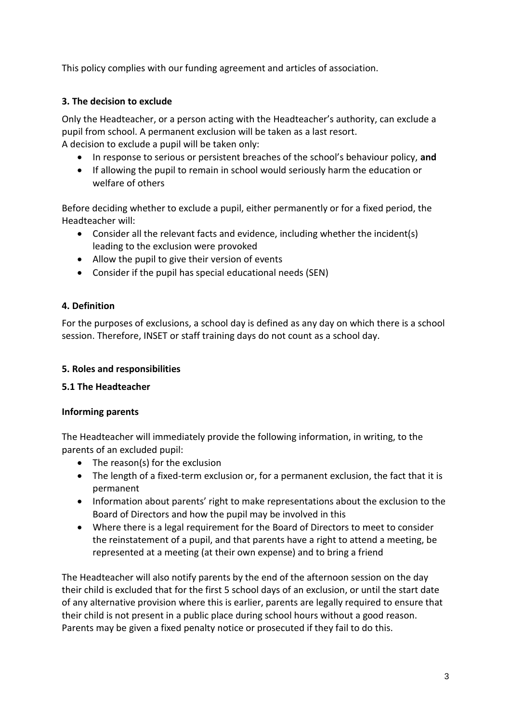This policy complies with our funding agreement and articles of association.

#### **3. The decision to exclude**

Only the Headteacher, or a person acting with the Headteacher's authority, can exclude a pupil from school. A permanent exclusion will be taken as a last resort. A decision to exclude a pupil will be taken only:

- In response to serious or persistent breaches of the school's behaviour policy, **and**
- If allowing the pupil to remain in school would seriously harm the education or welfare of others

Before deciding whether to exclude a pupil, either permanently or for a fixed period, the Headteacher will:

- Consider all the relevant facts and evidence, including whether the incident(s) leading to the exclusion were provoked
- Allow the pupil to give their version of events
- Consider if the pupil has special educational needs (SEN)

#### **4. Definition**

For the purposes of exclusions, a school day is defined as any day on which there is a school session. Therefore, INSET or staff training days do not count as a school day.

#### **5. Roles and responsibilities**

#### **5.1 The Headteacher**

#### **Informing parents**

The Headteacher will immediately provide the following information, in writing, to the parents of an excluded pupil:

- The reason(s) for the exclusion
- The length of a fixed-term exclusion or, for a permanent exclusion, the fact that it is permanent
- Information about parents' right to make representations about the exclusion to the Board of Directors and how the pupil may be involved in this
- Where there is a legal requirement for the Board of Directors to meet to consider the reinstatement of a pupil, and that parents have a right to attend a meeting, be represented at a meeting (at their own expense) and to bring a friend

The Headteacher will also notify parents by the end of the afternoon session on the day their child is excluded that for the first 5 school days of an exclusion, or until the start date of any alternative provision where this is earlier, parents are legally required to ensure that their child is not present in a public place during school hours without a good reason. Parents may be given a fixed penalty notice or prosecuted if they fail to do this.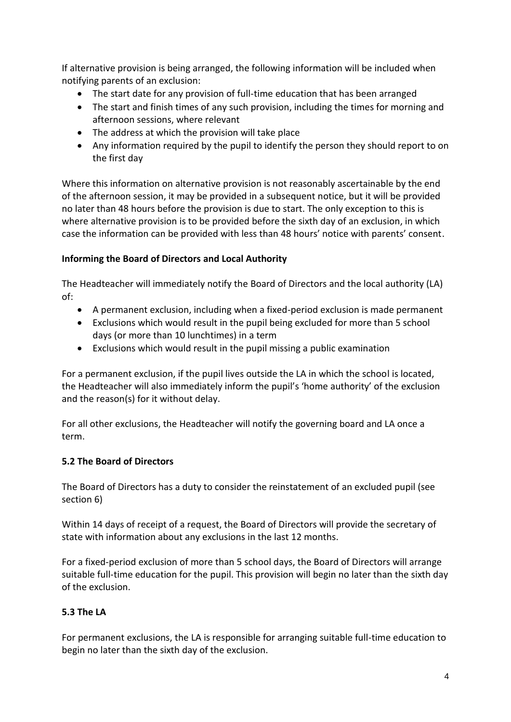If alternative provision is being arranged, the following information will be included when notifying parents of an exclusion:

- The start date for any provision of full-time education that has been arranged
- The start and finish times of any such provision, including the times for morning and afternoon sessions, where relevant
- The address at which the provision will take place
- Any information required by the pupil to identify the person they should report to on the first day

Where this information on alternative provision is not reasonably ascertainable by the end of the afternoon session, it may be provided in a subsequent notice, but it will be provided no later than 48 hours before the provision is due to start. The only exception to this is where alternative provision is to be provided before the sixth day of an exclusion, in which case the information can be provided with less than 48 hours' notice with parents' consent.

#### **Informing the Board of Directors and Local Authority**

The Headteacher will immediately notify the Board of Directors and the local authority (LA) of:

- A permanent exclusion, including when a fixed-period exclusion is made permanent
- Exclusions which would result in the pupil being excluded for more than 5 school days (or more than 10 lunchtimes) in a term
- Exclusions which would result in the pupil missing a public examination

For a permanent exclusion, if the pupil lives outside the LA in which the school is located, the Headteacher will also immediately inform the pupil's 'home authority' of the exclusion and the reason(s) for it without delay.

For all other exclusions, the Headteacher will notify the governing board and LA once a term.

#### **5.2 The Board of Directors**

The Board of Directors has a duty to consider the reinstatement of an excluded pupil (see section 6)

Within 14 days of receipt of a request, the Board of Directors will provide the secretary of state with information about any exclusions in the last 12 months.

For a fixed-period exclusion of more than 5 school days, the Board of Directors will arrange suitable full-time education for the pupil. This provision will begin no later than the sixth day of the exclusion.

# **5.3 The LA**

For permanent exclusions, the LA is responsible for arranging suitable full-time education to begin no later than the sixth day of the exclusion.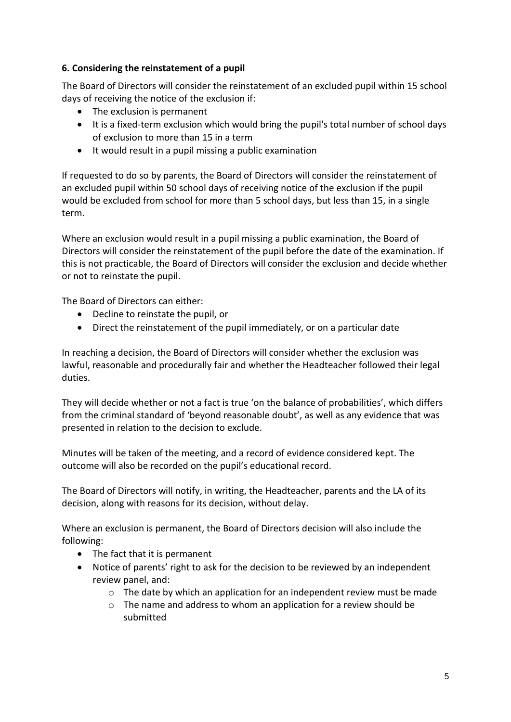#### **6. Considering the reinstatement of a pupil**

The Board of Directors will consider the reinstatement of an excluded pupil within 15 school days of receiving the notice of the exclusion if:

- The exclusion is permanent
- It is a fixed-term exclusion which would bring the pupil's total number of school days of exclusion to more than 15 in a term
- It would result in a pupil missing a public examination

If requested to do so by parents, the Board of Directors will consider the reinstatement of an excluded pupil within 50 school days of receiving notice of the exclusion if the pupil would be excluded from school for more than 5 school days, but less than 15, in a single term.

Where an exclusion would result in a pupil missing a public examination, the Board of Directors will consider the reinstatement of the pupil before the date of the examination. If this is not practicable, the Board of Directors will consider the exclusion and decide whether or not to reinstate the pupil.

The Board of Directors can either:

- Decline to reinstate the pupil, or
- Direct the reinstatement of the pupil immediately, or on a particular date

In reaching a decision, the Board of Directors will consider whether the exclusion was lawful, reasonable and procedurally fair and whether the Headteacher followed their legal duties.

They will decide whether or not a fact is true 'on the balance of probabilities', which differs from the criminal standard of 'beyond reasonable doubt', as well as any evidence that was presented in relation to the decision to exclude.

Minutes will be taken of the meeting, and a record of evidence considered kept. The outcome will also be recorded on the pupil's educational record.

The Board of Directors will notify, in writing, the Headteacher, parents and the LA of its decision, along with reasons for its decision, without delay.

Where an exclusion is permanent, the Board of Directors decision will also include the following:

- The fact that it is permanent
- Notice of parents' right to ask for the decision to be reviewed by an independent review panel, and:
	- $\circ$  The date by which an application for an independent review must be made
	- o The name and address to whom an application for a review should be submitted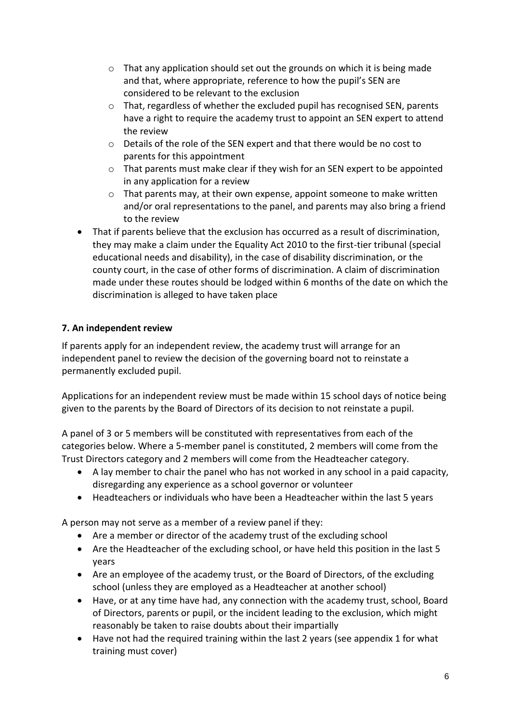- $\circ$  That any application should set out the grounds on which it is being made and that, where appropriate, reference to how the pupil's SEN are considered to be relevant to the exclusion
- $\circ$  That, regardless of whether the excluded pupil has recognised SEN, parents have a right to require the academy trust to appoint an SEN expert to attend the review
- o Details of the role of the SEN expert and that there would be no cost to parents for this appointment
- o That parents must make clear if they wish for an SEN expert to be appointed in any application for a review
- $\circ$  That parents may, at their own expense, appoint someone to make written and/or oral representations to the panel, and parents may also bring a friend to the review
- That if parents believe that the exclusion has occurred as a result of discrimination, they may make a claim under the Equality Act 2010 to the first-tier tribunal (special educational needs and disability), in the case of disability discrimination, or the county court, in the case of other forms of discrimination. A claim of discrimination made under these routes should be lodged within 6 months of the date on which the discrimination is alleged to have taken place

# **7. An independent review**

If parents apply for an independent review, the academy trust will arrange for an independent panel to review the decision of the governing board not to reinstate a permanently excluded pupil.

Applications for an independent review must be made within 15 school days of notice being given to the parents by the Board of Directors of its decision to not reinstate a pupil.

A panel of 3 or 5 members will be constituted with representatives from each of the categories below. Where a 5-member panel is constituted, 2 members will come from the Trust Directors category and 2 members will come from the Headteacher category.

- A lay member to chair the panel who has not worked in any school in a paid capacity, disregarding any experience as a school governor or volunteer
- Headteachers or individuals who have been a Headteacher within the last 5 years

A person may not serve as a member of a review panel if they:

- Are a member or director of the academy trust of the excluding school
- Are the Headteacher of the excluding school, or have held this position in the last 5 years
- Are an employee of the academy trust, or the Board of Directors, of the excluding school (unless they are employed as a Headteacher at another school)
- Have, or at any time have had, any connection with the academy trust, school, Board of Directors, parents or pupil, or the incident leading to the exclusion, which might reasonably be taken to raise doubts about their impartially
- Have not had the required training within the last 2 years (see appendix 1 for what training must cover)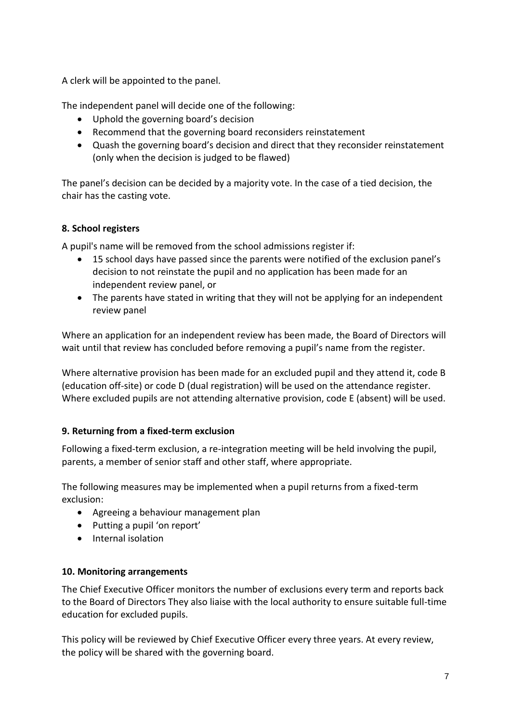A clerk will be appointed to the panel.

The independent panel will decide one of the following:

- Uphold the governing board's decision
- Recommend that the governing board reconsiders reinstatement
- Quash the governing board's decision and direct that they reconsider reinstatement (only when the decision is judged to be flawed)

The panel's decision can be decided by a majority vote. In the case of a tied decision, the chair has the casting vote.

#### **8. School registers**

A pupil's name will be removed from the school admissions register if:

- 15 school days have passed since the parents were notified of the exclusion panel's decision to not reinstate the pupil and no application has been made for an independent review panel, or
- The parents have stated in writing that they will not be applying for an independent review panel

Where an application for an independent review has been made, the Board of Directors will wait until that review has concluded before removing a pupil's name from the register.

Where alternative provision has been made for an excluded pupil and they attend it, code B (education off-site) or code D (dual registration) will be used on the attendance register. Where excluded pupils are not attending alternative provision, code E (absent) will be used.

#### **9. Returning from a fixed-term exclusion**

Following a fixed-term exclusion, a re-integration meeting will be held involving the pupil, parents, a member of senior staff and other staff, where appropriate.

The following measures may be implemented when a pupil returns from a fixed-term exclusion:

- Agreeing a behaviour management plan
- Putting a pupil 'on report'
- Internal isolation

#### **10. Monitoring arrangements**

The Chief Executive Officer monitors the number of exclusions every term and reports back to the Board of Directors They also liaise with the local authority to ensure suitable full-time education for excluded pupils.

This policy will be reviewed by Chief Executive Officer every three years. At every review, the policy will be shared with the governing board.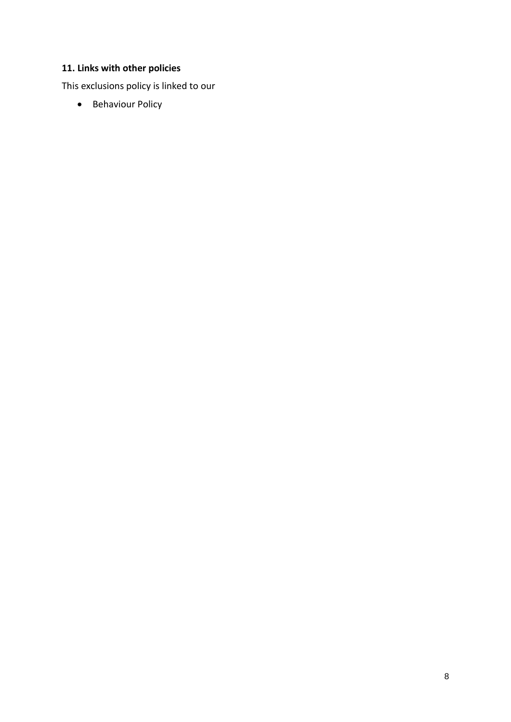# **11. Links with other policies**

This exclusions policy is linked to our

• Behaviour Policy